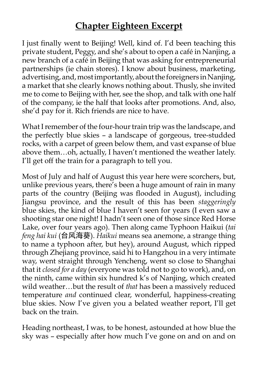# **Chapter Eighteen Excerpt**

I just finally went to Beijing! Well, kind of. I'd been teaching this private student, Peggy, and she's about to open a café in Nanjing, a new branch of a café in Beijing that was asking for entrepreneurial partnerships (ie chain stores). I know about business, marketing, advertising, and, most importantly, about the foreigners in Nanjing, a market that she clearly knows nothing about. Thusly, she invited me to come to Beijing with her, see the shop, and talk with one half of the company, ie the half that looks after promotions. And, also, she'd pay for it. Rich friends are nice to have.

What I remember of the four-hour train trip was the landscape, and the perfectly blue skies – a landscape of gorgeous, tree-studded rocks, with a carpet of green below them, and vast expanse of blue above them…oh, actually, I haven't mentioned the weather lately. I'll get off the train for a paragraph to tell you.

Most of July and half of August this year here were scorchers, but, unlike previous years, there's been a huge amount of rain in many parts of the country (Beijing was flooded in August), including Jiangsu province, and the result of this has been *staggeringly*  blue skies, the kind of blue I haven't seen for years (I even saw a shooting star one night! I hadn't seen one of those since Red Horse Lake, over four years ago). Then along came Typhoon Haikui (*tai feng hai kui* (台风海葵). *Haikui* means sea anemone, a strange thing to name a typhoon after, but hey), around August, which ripped through Zhejiang province, said hi to Hangzhou in a very intimate way, went straight through Yencheng, went so close to Shanghai that it *closed for a day* (everyone was told not to go to work), and, on the ninth, came within six hundred k's of Nanjing, which created wild weather…but the result of *that* has been a massively reduced temperature *and* continued clear, wonderful, happiness-creating blue skies. Now I've given you a belated weather report, I'll get back on the train.

Heading northeast, I was, to be honest, astounded at how blue the sky was – especially after how much I've gone on and on and on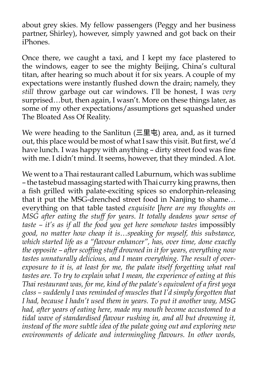about grey skies. My fellow passengers (Peggy and her business partner, Shirley), however, simply yawned and got back on their iPhones.

Once there, we caught a taxi, and I kept my face plastered to the windows, eager to see the mighty Beijing, China's cultural titan, after hearing so much about it for six years. A couple of my expectations were instantly flushed down the drain; namely, they *still* throw garbage out car windows. I'll be honest, I was *very* surprised…but, then again, I wasn't. More on these things later, as some of my other expectations/assumptions get squashed under The Bloated Ass Of Reality.

We were heading to the Sanlitun  $(\Xi \boxplus \texttt{t})$  area, and, as it turned out, this place would be most of what I saw this visit. But first, we'd have lunch. I was happy with anything – dirty street food was fine with me. I didn't mind. It seems, however, that they minded. A lot.

We went to a Thai restaurant called Laburnum, which was sublime – the tastebud massaging started with Thai curry king prawns, then a fish grilled with palate-exciting spices so endorphin-releasing that it put the MSG-drenched street food in Nanjing to shame… everything on that table tasted *exquisite* [*here are my thoughts on MSG after eating the stuff for years. It totally deadens your sense of*  taste – it's as if all the food you get here somehow tastes impossibly *good, no matter how cheap it is…speaking for myself, this substance, which started life as a "flavour enhancer", has, over time, done exactly the opposite – after scoffing stuff drowned in it for years, everything now tastes unnaturally delicious, and I mean everything. The result of over*exposure to it is, at least for me, the palate itself forgetting what real *tastes are. To try to explain what I mean, the experience of eating at this Thai restaurant was, for me, kind of the palate's equivalent of a first yoga class – suddenly I was reminded of muscles that I'd simply forgotten that I had, because I hadn't used them in years. To put it another way, MSG had, after years of eating here, made my mouth become accustomed to a tidal wave of standardised flavour rushing in, and all but drowning it, instead of the more subtle idea of the palate going out and exploring new environments of delicate and intermingling flavours. In other words,*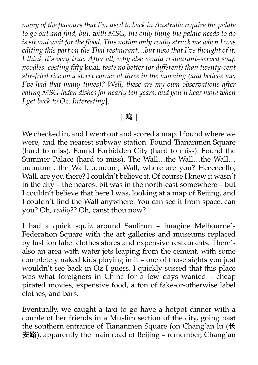*many of the flavours that I'm used to back in Australia require the palate to go out and find, but, with MSG, the only thing the palate needs to do is sit and wait for the flood. This notion only really struck me when I was editing this part on the Thai restaurant…but now that I've thought of it, I think it's very true. After all, why else would restaurant–served soup noodles, costing fifty* kuai*, taste no better (or different) than twenty-cent stir-fried rice on a street corner at three in the morning (and believe me, I've had that many times)? Well, these are my own observations after eating MSG-laden dishes for nearly ten years, and you'll hear more when I get back to Oz. Interesting*].

#### | 鸡 |

We checked in, and I went out and scored a map. I found where we were, and the nearest subway station. Found Tiananmen Square (hard to miss). Found Forbidden City (hard to miss). Found the Summer Palace (hard to miss). The Wall...the Wall...the Wall... uuuuum…the Wall…uuuum, Wall, where are you? Heeeeeello, Wall, are you there? I couldn't believe it. Of course I knew it wasn't in the city – the nearest bit was in the north-east somewhere – but I couldn't believe that here I was, looking at a map of Beijing, and I couldn't find the Wall anywhere. You can see it from space, can you? Oh, *really*?? Oh, canst thou now?

I had a quick squiz around Sanlitun – imagine Melbourne's Federation Square with the art galleries and museums replaced by fashion label clothes stores and expensive restaurants. There's also an area with water jets leaping from the cement, with some completely naked kids playing in it – one of those sights you just wouldn't see back in Oz I guess. I quickly sussed that this place was what foreigners in China for a few days wanted – cheap pirated movies, expensive food, a ton of fake-or-otherwise label clothes, and bars.

Eventually, we caught a taxi to go have a hotpot dinner with a couple of her friends in a Muslim section of the city, going past the southern entrance of Tiananmen Square (on Chang'an lu (长 安路), apparently the main road of Beijing – remember, Chang'an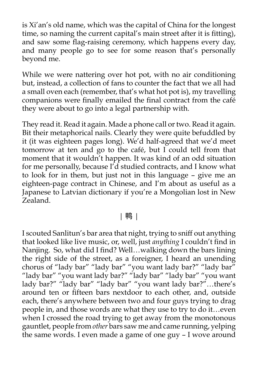is Xi'an's old name, which was the capital of China for the longest time, so naming the current capital's main street after it is fitting), and saw some flag-raising ceremony, which happens every day, and many people go to see for some reason that's personally beyond me.

While we were nattering over hot pot, with no air conditioning but, instead, a collection of fans to counter the fact that we all had a small oven each (remember, that's what hot pot is), my travelling companions were finally emailed the final contract from the café they were about to go into a legal partnership with.

They read it. Read it again. Made a phone call or two. Read it again. Bit their metaphorical nails. Clearly they were quite befuddled by it (it was eighteen pages long). We'd half-agreed that we'd meet tomorrow at ten and go to the café, but I could tell from that moment that it wouldn't happen. It was kind of an odd situation for me personally, because  $I'd$  studied contracts, and I know what to look for in them, but just not in this language – give me an eighteen-page contract in Chinese, and I'm about as useful as a Japanese to Latvian dictionary if you're a Mongolian lost in New Zealand.

### | 鸭 |

I scouted Sanlitun's bar area that night, trying to sniff out anything that looked like live music, or, well, just *anything* I couldn't find in Nanjing. So, what did I find? Well…walking down the bars lining the right side of the street, as a foreigner, I heard an unending chorus of "lady bar" "lady bar" "you want lady bar?" "lady bar" "lady bar" "you want lady bar?" "lady bar" "lady bar" "you want lady bar?" "lady bar" "lady bar" "you want lady bar?"…there's around ten or fifteen bars nextdoor to each other, and, outside each, there's anywhere between two and four guys trying to drag people in, and those words are what they use to try to do it…even when I crossed the road trying to get away from the monotonous gauntlet, people from *other* bars saw me and came running, yelping the same words. I even made a game of one guy – I wove around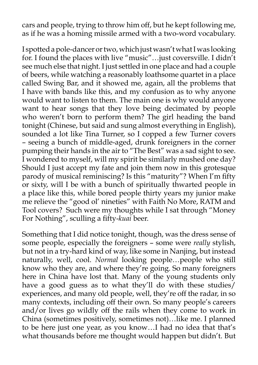cars and people, trying to throw him off, but he kept following me, as if he was a homing missile armed with a two-word vocabulary.

I spotted a pole-dancer or two, which just wasn't what I was looking for. I found the places with live "music"…just coversville. I didn't see much else that night. I just settled in one place and had a couple of beers, while watching a reasonably loathsome quartet in a place called Swing Bar, and it showed me, again, all the problems that I have with bands like this, and my confusion as to why anyone would want to listen to them. The main one is why would anyone want to hear songs that they love being decimated by people who weren't born to perform them? The girl heading the band tonight (Chinese, but said and sung almost everything in English), sounded a lot like Tina Turner, so I copped a few Turner covers – seeing a bunch of middle-aged, drunk foreigners in the corner pumping their hands in the air to "The Best" was a sad sight to see. I wondered to myself, will my spirit be similarly mushed one day? Should I just accept my fate and join them now in this grotesque parody of musical reminiscing? Is this "maturity"? When I'm fifty or sixty, will I be with a bunch of spiritually thwarted people in a place like this, while bored people thirty years my junior make me relieve the "good ol' nineties" with Faith No More, RATM and Tool covers? Such were my thoughts while I sat through "Money For Nothing", sculling a fifty-*kuai* beer.

Something that I did notice tonight, though, was the dress sense of some people, especially the foreigners – some were *really* stylish, but not in a try-hard kind of way, like some in Nanjing, but instead naturally, well, cool. *Normal* looking people…people who still know who they are, and where they're going. So many foreigners here in China have lost that. Many of the young students only have a good guess as to what they'll do with these studies/ experiences, and many old people, well, they're off the radar, in so many contexts, including off their own. So many people's careers and/or lives go wildly off the rails when they come to work in China (sometimes positively, sometimes not)…like me. I planned to be here just one year, as you know...I had no idea that that's what thousands before me thought would happen but didn't. But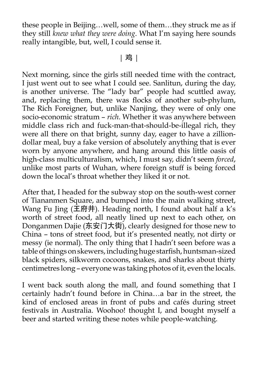these people in Beijing…well, some of them…they struck me as if they still *knew what they were doing*. What I'm saying here sounds really intangible, but, well, I could sense it.

### | 鸡 |

Next morning, since the girls still needed time with the contract, I just went out to see what I could see. Sanlitun, during the day, is another universe. The "lady bar" people had scuttled away, and, replacing them, there was flocks of another sub-phylum, The Rich Foreigner, but, unlike Nanjing, they were of only one socio-economic stratum – *rich*. Whether it was anywhere between middle class rich and fuck-man-that-should-be-illegal rich, they were all there on that bright, sunny day, eager to have a zilliondollar meal, buy a fake version of absolutely anything that is ever worn by anyone anywhere, and hang around this little oasis of high-class multiculturalism, which, I must say, didn't seem *forced*, unlike most parts of Wuhan, where foreign stuff is being forced down the local's throat whether they liked it or not.

After that, I headed for the subway stop on the south-west corner of Tiananmen Square, and bumped into the main walking street, Wang Fu Jing  $($ 王府井). Heading north, I found about half a k's worth of street food, all neatly lined up next to each other, on Donganmen Dajie (东安门大街), clearly designed for those new to China – tons of street food, but it's presented neatly, not dirty or messy (ie normal). The only thing that I hadn't seen before was a table of things on skewers, including huge starfish, huntsman-sized black spiders, silkworm cocoons, snakes, and sharks about thirty centimetres long – everyone was taking photos of it, even the locals.

I went back south along the mall, and found something that I certainly hadn't found before in China…a bar in the street, the kind of enclosed areas in front of pubs and cafés during street festivals in Australia. Woohoo! thought I, and bought myself a beer and started writing these notes while people-watching.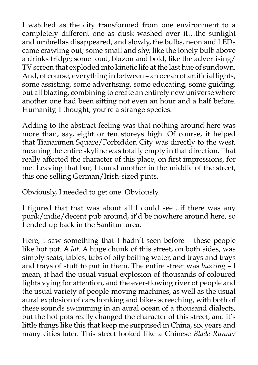I watched as the city transformed from one environment to a completely different one as dusk washed over it…the sunlight and umbrellas disappeared, and slowly, the bulbs, neon and LEDs came crawling out; some small and shy, like the lonely bulb above a drinks fridge; some loud, blazon and bold, like the advertising/ TV screen that exploded into kinetic life at the last hue of sundown. And, of course, everything in between – an ocean of artificial lights, some assisting, some advertising, some educating, some guiding, but all blazing, combining to create an entirely new universe where another one had been sitting not even an hour and a half before. Humanity, I thought, you're a strange species.

Adding to the abstract feeling was that nothing around here was more than, say, eight or ten storeys high. Of course, it helped that Tiananmen Square/Forbidden City was directly to the west, meaning the entire skyline was totally empty in that direction. That really affected the character of this place, on first impressions, for me. Leaving that bar, I found another in the middle of the street, this one selling German/Irish-sized pints.

Obviously, I needed to get one. Obviously.

I figured that that was about all I could see…if there was any punk/indie/decent pub around, it'd be nowhere around here, so I ended up back in the Sanlitun area.

Here, I saw something that I hadn't seen before – these people like hot pot. A *lot*. A huge chunk of this street, on both sides, was simply seats, tables, tubs of oily boiling water, and trays and trays and trays of stuff to put in them. The entire street was *buzzing* – I mean, it had the usual visual explosion of thousands of coloured lights vying for attention, and the ever-flowing river of people and the usual variety of people-moving machines, as well as the usual aural explosion of cars honking and bikes screeching, with both of these sounds swimming in an aural ocean of a thousand dialects, but the hot pots really changed the character of this street, and it's little things like this that keep me surprised in China, six years and many cities later. This street looked like a Chinese *Blade Runner*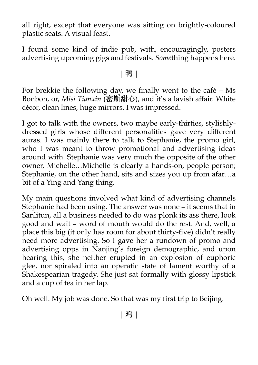all right, except that everyone was sitting on brightly-coloured plastic seats. A visual feast.

I found some kind of indie pub, with, encouragingly, posters advertising upcoming gigs and festivals. *Some*thing happens here.

## | 鸭 |

For brekkie the following day, we finally went to the café – Ms Bonbon, or, *Misi Tianxin* (密斯甜心), and it's a lavish affair. White décor, clean lines, huge mirrors. I was impressed.

I got to talk with the owners, two maybe early-thirties, stylishlydressed girls whose different personalities gave very different auras. I was mainly there to talk to Stephanie, the promo girl, who I was meant to throw promotional and advertising ideas around with. Stephanie was very much the opposite of the other owner, Michelle…Michelle is clearly a hands-on, people person; Stephanie, on the other hand, sits and sizes you up from afar…a bit of a Ying and Yang thing.

My main questions involved what kind of advertising channels Stephanie had been using. The answer was none – it seems that in Sanlitun, all a business needed to do was plonk its ass there, look good and wait – word of mouth would do the rest. And, well, a place this big (it only has room for about thirty-five) didn't really need more advertising. So I gave her a rundown of promo and advertising opps in Nanjing's foreign demographic, and upon hearing this, she neither erupted in an explosion of euphoric glee, nor spiraled into an operatic state of lament worthy of a Shakespearian tragedy. She just sat formally with glossy lipstick and a cup of tea in her lap.

Oh well. My job was done. So that was my first trip to Beijing.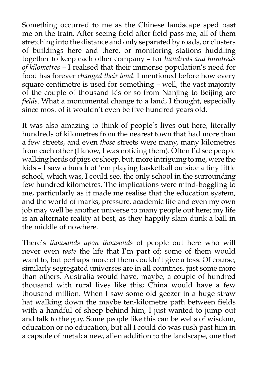Something occurred to me as the Chinese landscape sped past me on the train. After seeing field after field pass me, all of them stretching into the distance and only separated by roads, or clusters of buildings here and there, or monitoring stations huddling together to keep each other company – for *hundreds and hundreds of kilometres –* I realised that their immense population's need for food has forever *changed their land*. I mentioned before how every square centimetre is used for something – well, the vast majority of the couple of thousand k's or so from Nanjing to Beijing are *fields*. What a monumental change to a land, I thought, especially since most of it wouldn't even be five hundred years old.

It was also amazing to think of people's lives out here, literally hundreds of kilometres from the nearest town that had more than a few streets, and even *those* streets were many, many kilometres from each other (I know, I was noticing them). Often I'd see people walking herds of pigs or sheep, but, more intriguing to me, were the kids – I saw a bunch of 'em playing basketball outside a tiny little school, which was, I could see, the only school in the surrounding few hundred kilometres. The implications were mind-boggling to me, particularly as it made me realise that the education system, and the world of marks, pressure, academic life and even my own job may well be another universe to many people out here; my life is an alternate reality at best, as they happily slam dunk a ball in the middle of nowhere.

There's *thousands upon thousands* of people out here who will never even *taste* the life that I'm part of; some of them would want to, but perhaps more of them couldn't give a toss. Of course, similarly segregated universes are in all countries, just some more than others. Australia would have, maybe, a couple of hundred thousand with rural lives like this; China would have a few thousand million. When I saw some old geezer in a huge straw hat walking down the maybe ten-kilometre path between fields with a handful of sheep behind him, I just wanted to jump out and talk to the guy. Some people like this can be wells of wisdom, education or no education, but all I could do was rush past him in a capsule of metal; a new, alien addition to the landscape, one that